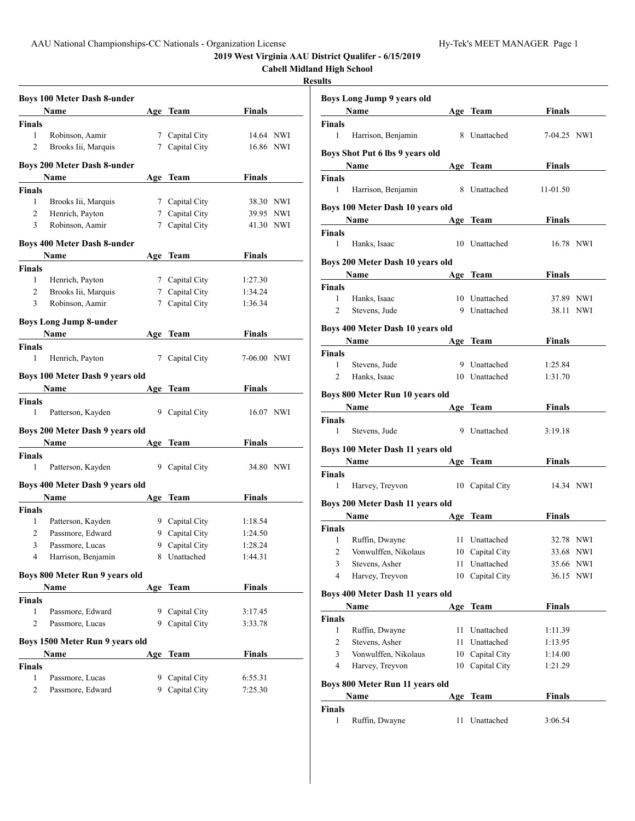**2019 West Virginia AAU District Qualifer - 6/15/2019**

|                |                                    |   |                |               | <b>Cabell Midland High School</b><br><b>Results</b> |                         |
|----------------|------------------------------------|---|----------------|---------------|-----------------------------------------------------|-------------------------|
|                |                                    |   |                |               |                                                     |                         |
|                | <b>Boys 100 Meter Dash 8-under</b> |   |                |               |                                                     | <b>Boys Long Ju</b>     |
|                | Name                               |   | Age Team       | Finals        |                                                     | Name                    |
| <b>Finals</b>  |                                    |   |                |               |                                                     | Finals                  |
| 1              | Robinson, Aamir                    |   | 7 Capital City | 14.64 NWI     |                                                     | $\mathbf{1}$<br>Harriso |
| 2              | Brooks Iii, Marquis                |   | 7 Capital City | 16.86 NWI     |                                                     | <b>Boys Shot Put</b>    |
|                | <b>Boys 200 Meter Dash 8-under</b> |   |                |               |                                                     | <b>Name</b>             |
|                | Name                               |   | Age Team       | <b>Finals</b> |                                                     | Finals                  |
| <b>Finals</b>  |                                    |   |                |               |                                                     | 1<br>Harriso            |
| 1              | Brooks Iii, Marquis                |   | 7 Capital City | 38.30 NWI     |                                                     |                         |
| $\overline{c}$ | Henrich, Payton                    |   | 7 Capital City | 39.95 NWI     |                                                     | Boys 100 Met            |
| $\overline{3}$ | Robinson, Aamir                    |   | 7 Capital City | 41.30 NWI     |                                                     | Name                    |
|                |                                    |   |                |               |                                                     | Finals                  |
|                | <b>Boys 400 Meter Dash 8-under</b> |   |                |               |                                                     | 1<br>Hanks,             |
|                | Name                               |   | Age Team       | <b>Finals</b> |                                                     |                         |
| <b>Finals</b>  |                                    |   |                |               |                                                     | Boys 200 Met            |
| $\mathbf{1}$   | Henrich, Payton                    |   | 7 Capital City | 1:27.30       |                                                     | <b>Name</b>             |
| $\overline{2}$ | Brooks Iii, Marquis                |   | 7 Capital City | 1:34.24       |                                                     | <b>Finals</b>           |
| 3              | Robinson, Aamir                    |   | 7 Capital City | 1:36.34       |                                                     | $\mathbf{1}$<br>Hanks,  |
|                |                                    |   |                |               |                                                     | 2<br>Steven             |
|                | <b>Boys Long Jump 8-under</b>      |   |                |               |                                                     | Boys 400 Met            |
|                | <b>Name</b>                        |   | Age Team       | Finals        |                                                     | Name                    |
| Finals         |                                    |   |                |               |                                                     |                         |
| 1              | Henrich, Payton                    |   | 7 Capital City | 7-06.00 NWI   |                                                     | <b>Finals</b>           |
|                | Boys 100 Meter Dash 9 years old    |   |                |               |                                                     | $\mathbf{1}$<br>Steven  |
|                |                                    |   |                |               |                                                     | 2<br>Hanks,             |
|                | Name                               |   | Age Team       | <b>Finals</b> |                                                     | Boys 800 Met            |
| <b>Finals</b>  |                                    |   |                |               |                                                     | Name                    |
| 1              | Patterson, Kayden                  |   | 9 Capital City | 16.07 NWI     |                                                     | Finals                  |
|                | Boys 200 Meter Dash 9 years old    |   |                |               |                                                     | 1<br>Steven             |
|                | Name                               |   | Age Team       | Finals        |                                                     |                         |
| Finals         |                                    |   |                |               |                                                     | Boys 100 Met            |
| 1              | Patterson, Kayden                  |   | 9 Capital City | 34.80 NWI     |                                                     | <b>Name</b>             |
|                |                                    |   |                |               |                                                     | Finals                  |
|                | Boys 400 Meter Dash 9 years old    |   |                |               |                                                     | 1<br>Harvey             |
|                | Name                               |   | Age Team       | <b>Finals</b> |                                                     | Boys 200 Met            |
| Finals         |                                    |   |                |               |                                                     |                         |
| 1              | Patterson, Kayden                  |   | 9 Capital City | 1:18.54       |                                                     | Name                    |
| 2              | Passmore, Edward                   |   | 9 Capital City | 1:24.50       |                                                     | Finals                  |
| 3              | Passmore, Lucas                    | 9 | Capital City   | 1:28.24       |                                                     | Ruffin,<br>$\mathbf{1}$ |
| 4              | Harrison, Benjamin                 |   | 8 Unattached   | 1:44.31       |                                                     | 2<br>Vonwu              |
|                |                                    |   |                |               |                                                     | 3<br>Steven             |
|                | Boys 800 Meter Run 9 years old     |   |                |               |                                                     | 4<br>Harvey             |
|                | Name                               |   | Age Team       | <b>Finals</b> |                                                     | Boys 400 Met            |
| Finals         |                                    |   |                |               |                                                     | Name                    |
| 1              | Passmore, Edward                   |   | 9 Capital City | 3:17.45       |                                                     | Finals                  |
| 2              | Passmore, Lucas                    |   | 9 Capital City | 3:33.78       |                                                     | 1<br>Ruffin.            |
|                | Boys 1500 Meter Run 9 years old    |   |                |               |                                                     | 2<br>Steven             |
|                | Name                               |   | Age Team       | Finals        |                                                     | 3                       |
|                |                                    |   |                |               |                                                     | Vonwu<br>4              |
| Finals         |                                    |   |                |               |                                                     | Harvey                  |
| 1              | Passmore, Lucas                    |   | 9 Capital City | 6:55.31       |                                                     | Boys 800 Met            |
| $\overline{c}$ | Passmore, Edward                   |   | 9 Capital City | 7:25.30       |                                                     | Name                    |

|                    | Boys Long Jump 9 years old<br>Name      |    | Age Team        | Finals        |     |
|--------------------|-----------------------------------------|----|-----------------|---------------|-----|
|                    |                                         |    |                 |               |     |
| <b>Finals</b><br>1 | Harrison, Benjamin                      |    | 8 Unattached    | 7-04.25 NWI   |     |
|                    | Boys Shot Put 6 lbs 9 years old<br>Name |    | Age Team        | Finals        |     |
| Finals             |                                         |    |                 |               |     |
| 1                  | Harrison, Benjamin                      | 8  | Unattached      | 11-01.50      |     |
|                    | Boys 100 Meter Dash 10 years old        |    |                 |               |     |
|                    | Name                                    |    | Age Team        | Finals        |     |
| Finals<br>1        | Hanks, Isaac                            | 10 | Unattached      | 16.78 NWI     |     |
|                    | Boys 200 Meter Dash 10 years old        |    |                 |               |     |
|                    | <b>Name</b>                             |    | Age Team        | Finals        |     |
| Finals             |                                         |    |                 |               |     |
| 1                  | Hanks, Isaac                            |    | 10 Unattached   | 37.89 NWI     |     |
| 2                  | Stevens, Jude                           |    | 9 Unattached    | 38.11 NWI     |     |
|                    |                                         |    |                 |               |     |
|                    | Boys 400 Meter Dash 10 years old        |    |                 |               |     |
|                    | <b>Name</b>                             |    | Age Team        | Finals        |     |
| <b>Finals</b>      |                                         |    |                 |               |     |
| 1                  | Stevens, Jude                           |    | 9 Unattached    | 1:25.84       |     |
| 2                  | Hanks, Isaac                            |    | 10 Unattached   | 1:31.70       |     |
|                    | Boys 800 Meter Run 10 years old         |    |                 |               |     |
|                    | Name                                    |    | Age Team        | Finals        |     |
|                    |                                         |    |                 |               |     |
| Finals<br>1        | Stevens, Jude                           | 9  | Unattached      | 3:19.18       |     |
|                    | Boys 100 Meter Dash 11 years old        |    |                 |               |     |
|                    | <b>Name</b>                             |    | Age Team        | Finals        |     |
| Finals             |                                         |    |                 |               |     |
| $\mathbf{1}$       | Harvey, Treyvon                         | 10 | Capital City    | 14.34 NWI     |     |
|                    | Boys 200 Meter Dash 11 years old        |    |                 |               |     |
|                    | Name                                    |    | Age Team        | Finals        |     |
| Finals             |                                         |    |                 |               |     |
| 1                  | Ruffin, Dwayne                          |    | 11 Unattached   | 32.78 NWI     |     |
| 2                  | Vonwulffen, Nikolaus                    | 10 | Capital City    | 33.68 NWI     |     |
| 3                  | Stevens, Asher                          | 11 | Unattached      | 35.66         | NWI |
| 4                  | Harvey, Treyvon                         | 10 | Capital City    | 36.15 NWI     |     |
|                    | Boys 400 Meter Dash 11 years old        |    |                 |               |     |
|                    | Name                                    |    | Age Team        | <b>Finals</b> |     |
| Finals             |                                         |    |                 |               |     |
| 1                  | Ruffin, Dwayne                          | 11 | Unattached      | 1:11.39       |     |
| 2                  | Stevens, Asher                          | 11 | Unattached      | 1:13.95       |     |
| 3                  | Vonwulffen, Nikolaus                    | 10 | Capital City    | 1:14.00       |     |
| 4                  | Harvey, Treyvon                         |    | 10 Capital City | 1:21.29       |     |
|                    |                                         |    |                 |               |     |
|                    | Boys 800 Meter Run 11 years old         |    |                 |               |     |
|                    | Name                                    |    | Age Team        | <b>Finals</b> |     |
| Finals<br>1        | Ruffin, Dwayne                          | 11 | Unattached      | 3:06.54       |     |
|                    |                                         |    |                 |               |     |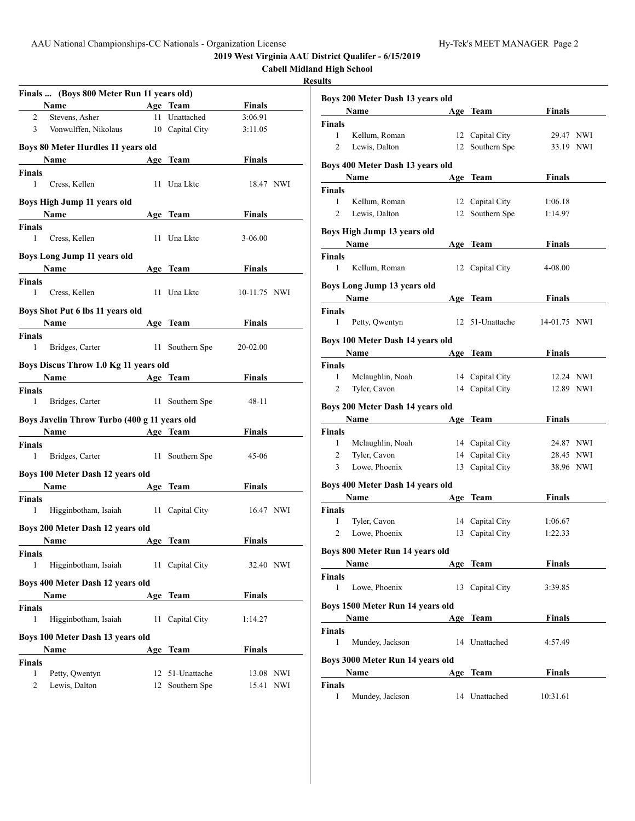**2019 West Virginia AAU District Qualifer - 6/15/2019**

|                    |                                                   |                 |               | 2012 west virginia AAU District Quanter<br><b>Cabell Midland High School</b> |                                    |
|--------------------|---------------------------------------------------|-----------------|---------------|------------------------------------------------------------------------------|------------------------------------|
|                    | Finals  (Boys 800 Meter Run 11 years old)         |                 |               | <b>Results</b>                                                               |                                    |
|                    | Name<br><b>Example 2</b> Age Team                 |                 | <b>Finals</b> |                                                                              | <b>Boys 200 Meto</b>               |
| $\overline{2}$     | Stevens, Asher                                    | 11 Unattached   | 3:06.91       |                                                                              | Name                               |
| 3                  | Vonwulffen, Nikolaus 10 Capital City              |                 | 3:11.05       |                                                                              | <b>Finals</b>                      |
|                    |                                                   |                 |               |                                                                              | $\mathbf{1}$<br>Kellum             |
|                    | Boys 80 Meter Hurdles 11 years old                |                 |               |                                                                              | 2<br>Lewis,                        |
|                    | Name Age Team                                     |                 | <b>Finals</b> |                                                                              | <b>Boys 400 Meto</b>               |
| Finals             |                                                   |                 |               |                                                                              | Name                               |
| 1                  | Cress, Kellen                                     | 11 Una Lktc     | 18.47 NWI     |                                                                              | Finals                             |
|                    | Boys High Jump 11 years old                       |                 |               |                                                                              | 1<br>Kellum                        |
|                    | Name                                              | Age Team        | Finals        |                                                                              | $\overline{c}$<br>Lewis,           |
| Finals             |                                                   |                 |               |                                                                              |                                    |
| 1                  | Cress, Kellen                                     | 11 Una Lktc     | $3 - 06.00$   |                                                                              | <b>Boys High Jun</b>               |
|                    |                                                   |                 |               |                                                                              | <b>Name</b>                        |
|                    | Boys Long Jump 11 years old                       |                 |               |                                                                              | Finals                             |
|                    | Name<br>the control of the control of the control | Age Team        | Finals        |                                                                              | 1<br>Kellum                        |
| Finals             |                                                   |                 |               |                                                                              | <b>Boys Long Jun</b>               |
| $\mathbf{1}$       | Cress, Kellen                                     | 11 Una Lktc     | 10-11.75 NWI  |                                                                              | Name                               |
|                    | Boys Shot Put 6 lbs 11 years old                  |                 |               |                                                                              |                                    |
|                    |                                                   |                 |               |                                                                              | Finals<br>$\mathbf{1}$             |
|                    | Name                                              | Age Team        | <b>Finals</b> |                                                                              | Petty, O                           |
| Finals             |                                                   |                 |               |                                                                              | <b>Boys 100 Meto</b>               |
| $\mathbf{1}$       | Bridges, Carter                                   | 11 Southern Spe | 20-02.00      |                                                                              | Name                               |
|                    | Boys Discus Throw 1.0 Kg 11 years old             |                 |               |                                                                              | <b>Finals</b>                      |
|                    | <b>Example 2</b> Age Team<br>Name                 |                 | Finals        |                                                                              | Mclaug<br>1                        |
| Finals             |                                                   |                 |               |                                                                              | 2<br>Tyler, 0                      |
| 1                  | Bridges, Carter                                   | 11 Southern Spe | $48 - 11$     |                                                                              |                                    |
|                    |                                                   |                 |               |                                                                              | <b>Boys 200 Mete</b>               |
|                    | Boys Javelin Throw Turbo (400 g 11 years old      |                 |               |                                                                              | <b>Name</b>                        |
|                    | Name<br><b>Example 2</b> Age Team                 |                 | <b>Finals</b> |                                                                              | <b>Finals</b>                      |
| Finals             |                                                   |                 |               |                                                                              | Mclaug<br>1                        |
| 1                  | Bridges, Carter 11 Southern Spe                   |                 | $45 - 06$     |                                                                              | 2<br>Tyler, 0                      |
|                    | Boys 100 Meter Dash 12 years old                  |                 |               |                                                                              | 3<br>Lowe,                         |
|                    | Name                                              | Age Team        | Finals        |                                                                              | <b>Boys 400 Meto</b>               |
|                    |                                                   |                 |               |                                                                              | Name                               |
| <b>Finals</b><br>1 | Higginbotham, Isaiah 11 Capital City              |                 |               |                                                                              |                                    |
|                    |                                                   |                 | 16.47 NWI     |                                                                              | Finals<br>Tyler, 0<br>$\mathbf{1}$ |
|                    | Boys 200 Meter Dash 12 years old                  |                 |               |                                                                              | 2<br>Lowe,                         |
|                    | Name                                              | Age Team        | <b>Finals</b> |                                                                              |                                    |
| Finals             |                                                   |                 |               |                                                                              | <b>Boys 800 Meto</b>               |
| 1                  | Higginbotham, Isaiah                              | 11 Capital City | 32.40 NWI     |                                                                              | <b>Name</b>                        |
|                    |                                                   |                 |               |                                                                              | Finals                             |
|                    | Boys 400 Meter Dash 12 years old                  |                 |               |                                                                              | 1<br>Lowe,                         |
|                    | Name                                              | Age Team        | <b>Finals</b> |                                                                              |                                    |
| Finals             |                                                   |                 |               |                                                                              | <b>Boys 1500 Me</b>                |
| 1                  | Higginbotham, Isaiah                              | 11 Capital City | 1:14.27       |                                                                              | <b>Name</b>                        |
|                    | Boys 100 Meter Dash 13 years old                  |                 |               |                                                                              | Finals                             |
|                    | Name                                              | Age Team        | <b>Finals</b> |                                                                              | 1<br>Munde                         |
| Finals             |                                                   |                 |               |                                                                              | <b>Boys 3000 Me</b>                |
| 1                  | Petty, Qwentyn                                    | 12 51-Unattache | 13.08 NWI     |                                                                              | <b>Name</b>                        |
| 2                  |                                                   |                 |               |                                                                              |                                    |
|                    | Lewis, Dalton                                     | 12 Southern Spe | 15.41 NWI     |                                                                              | <b>Finals</b>                      |

|                | Boys 200 Meter Dash 13 years old         |    |                 |               |  |
|----------------|------------------------------------------|----|-----------------|---------------|--|
|                | Name                                     |    | Age Team        | Finals        |  |
| Finals         |                                          |    |                 |               |  |
| 1              | Kellum, Roman                            |    | 12 Capital City | 29.47 NWI     |  |
| 2              | Lewis, Dalton                            | 12 | Southern Spe    | 33.19 NWI     |  |
|                |                                          |    |                 |               |  |
|                | Boys 400 Meter Dash 13 years old         |    |                 |               |  |
|                | <b>Name</b>                              |    | Age Team        | <b>Finals</b> |  |
| Finals         |                                          |    |                 |               |  |
| 1              | Kellum, Roman                            |    | 12 Capital City | 1:06.18       |  |
| 2              | Lewis, Dalton                            |    | 12 Southern Spe | 1:14.97       |  |
|                | Boys High Jump 13 years old              |    |                 |               |  |
|                | Name                                     |    | Age Team        | Finals        |  |
| Finals         |                                          |    |                 |               |  |
| 1              | Kellum, Roman                            |    | 12 Capital City | 4-08.00       |  |
|                |                                          |    |                 |               |  |
|                | Boys Long Jump 13 years old              |    |                 |               |  |
|                | Name                                     |    | Age Team        | <b>Finals</b> |  |
| Finals         |                                          |    |                 |               |  |
| 1              | Petty, Qwentyn                           | 12 | 51-Unattache    | 14-01.75 NWI  |  |
|                | Boys 100 Meter Dash 14 years old         |    |                 |               |  |
|                | Name                                     |    | Age Team        | <b>Finals</b> |  |
| Finals         |                                          |    |                 |               |  |
| 1              | Mclaughlin, Noah                         |    | 14 Capital City | 12.24 NWI     |  |
| 2              | Tyler, Cavon                             |    | 14 Capital City | 12.89 NWI     |  |
|                | Boys 200 Meter Dash 14 years old         |    |                 |               |  |
|                | Name                                     |    |                 | Finals        |  |
|                |                                          |    | Age Team        |               |  |
| Finals<br>1    | Mclaughlin, Noah                         |    | 14 Capital City | 24.87 NWI     |  |
| 2              | Tyler, Cavon                             |    | 14 Capital City | 28.45 NWI     |  |
| 3 <sup>7</sup> | Lowe, Phoenix                            |    | 13 Capital City | 38.96 NWI     |  |
|                |                                          |    |                 |               |  |
|                | Boys 400 Meter Dash 14 years old         |    |                 |               |  |
|                | Name                                     |    | Age Team        | <b>Finals</b> |  |
| Finals         |                                          |    |                 |               |  |
| 1              | Tyler, Cavon                             |    | 14 Capital City | 1:06.67       |  |
| 2              | Lowe, Phoenix                            |    | 13 Capital City | 1:22.33       |  |
|                | Boys 800 Meter Run 14 years old          |    |                 |               |  |
|                | Name<br><b>Age Team</b>                  |    |                 | Finals        |  |
| Finals         |                                          |    |                 |               |  |
| 1              | Lowe, Phoenix                            |    | 13 Capital City | 3:39.85       |  |
|                |                                          |    |                 |               |  |
|                | Boys 1500 Meter Run 14 years old         |    |                 |               |  |
|                | <b>Example 2</b> Age Team<br><b>Name</b> |    |                 | Finals        |  |
| Finals         |                                          |    |                 |               |  |
| 1              | Mundey, Jackson                          |    | 14 Unattached   | 4:57.49       |  |
|                | Boys 3000 Meter Run 14 years old         |    |                 |               |  |
|                | Name                                     |    | Age Team        | Finals        |  |
| Finals         |                                          |    |                 |               |  |
| 1              | Mundey, Jackson                          |    | 14 Unattached   | 10:31.61      |  |
|                |                                          |    |                 |               |  |